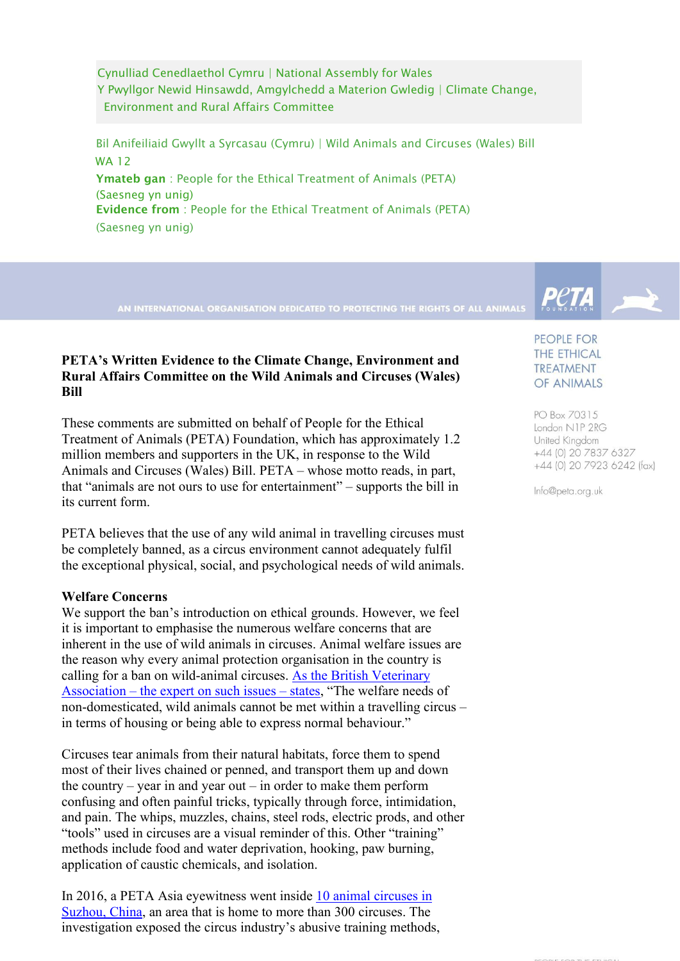Cynulliad Cenedlaethol Cymru | National Assembly for Wales Y Pwyllgor Newid Hinsawdd, Amgylchedd a Materion Gwledig | Climate Change, Environment and Rural Affairs Committee

 Bil Anifeiliaid Gwyllt a Syrcasau (Cymru) | Wild Animals and Circuses (Wales) Bill WA 12 Ymateb gan : People for the Ethical Treatment of Animals (PETA) (Saesneg yn unig) Evidence from : People for the Ethical Treatment of Animals (PETA) (Saesneg yn unig)

# **PETA's Written Evidence to the Climate Change, Environment and Rural Affairs Committee on the Wild Animals and Circuses (Wales) Bill**

These comments are submitted on behalf of People for the Ethical Treatment of Animals (PETA) Foundation, which has approximately 1.2 million members and supporters in the UK, in response to the Wild Animals and Circuses (Wales) Bill. PETA – whose motto reads, in part, that "animals are not ours to use for entertainment" – supports the bill in its current form.

PETA believes that the use of any wild animal in travelling circuses must be completely banned, as a circus environment cannot adequately fulfil the exceptional physical, social, and psychological needs of wild animals.

# **Welfare Concerns**

We support the ban's introduction on ethical grounds. However, we feel it is important to emphasise the numerous welfare concerns that are inherent in the use of wild animals in circuses. Animal welfare issues are the reason why every animal protection organisation in the country is calling for a ban on wild-animal circuses. [As the British Veterinary](http://www.bva.co.uk/News-campaigns-and-policy/Policy/Ethics-and-welfare/Circuses-and-animals/) Association – [the expert on such issues –](http://www.bva.co.uk/News-campaigns-and-policy/Policy/Ethics-and-welfare/Circuses-and-animals/) states, "The welfare needs of non-domesticated, wild animals cannot be met within a travelling circus – in terms of housing or being able to express normal behaviour."

Circuses tear animals from their natural habitats, force them to spend most of their lives chained or penned, and transport them up and down the country – year in and year out – in order to make them perform confusing and often painful tricks, typically through force, intimidation, and pain. The whips, muzzles, chains, steel rods, electric prods, and other "tools" used in circuses are a visual reminder of this. Other "training" methods include food and water deprivation, hooking, paw burning, application of caustic chemicals, and isolation.

In 2016, a PETA Asia eyewitness went inside [10 animal circuses in](https://www.petaasia.com/news/petas-circus-investigation-causing-stir-china/) [Suzhou,](https://www.petaasia.com/news/petas-circus-investigation-causing-stir-china/) China, an area that is home to more than 300 circuses. The investigation exposed the circus industry's abusive training methods,



**THE ETHICAL** TREATMENT OF ANIMALS

PO Box 70315 London N1P 2RG United Kingdom +44 (0) 20 7837 6327 +44 (0) 20 7923 6242 (fax)

Info@peta.org.uk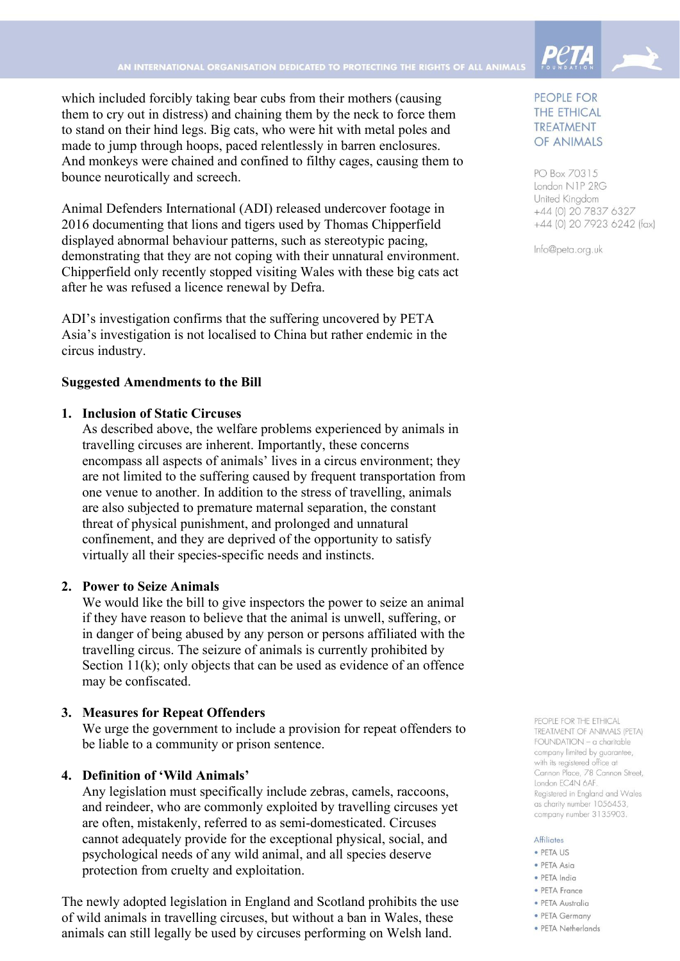which included forcibly taking bear cubs from their mothers (causing them to cry out in distress) and chaining them by the neck to force them to stand on their hind legs. Big cats, who were hit with metal poles and made to jump through hoops, paced relentlessly in barren enclosures. And monkeys were chained and confined to filthy cages, causing them to bounce neurotically and screech.

Animal Defenders International (ADI) released undercover footage in 2016 documenting that lions and tigers used by Thomas Chipperfield displayed abnormal behaviour patterns, such as stereotypic pacing, demonstrating that they are not coping with their unnatural environment. Chipperfield only recently stopped visiting Wales with these big cats act after he was refused a licence renewal by Defra.

ADI's investigation confirms that the suffering uncovered by PETA Asia's investigation is not localised to China but rather endemic in the circus industry.

# **Suggested Amendments to the Bill**

### **1. Inclusion of Static Circuses**

As described above, the welfare problems experienced by animals in travelling circuses are inherent. Importantly, these concerns encompass all aspects of animals' lives in a circus environment; they are not limited to the suffering caused by frequent transportation from one venue to another. In addition to the stress of travelling, animals are also subjected to premature maternal separation, the constant threat of physical punishment, and prolonged and unnatural confinement, and they are deprived of the opportunity to satisfy virtually all their species-specific needs and instincts.

### **2. Power to Seize Animals**

We would like the bill to give inspectors the power to seize an animal if they have reason to believe that the animal is unwell, suffering, or in danger of being abused by any person or persons affiliated with the travelling circus. The seizure of animals is currently prohibited by Section 11(k); only objects that can be used as evidence of an offence may be confiscated.

### **3. Measures for Repeat Offenders**

We urge the government to include a provision for repeat offenders to be liable to a community or prison sentence.

# **4. Definition of 'Wild Animals'**

Any legislation must specifically include zebras, camels, raccoons, and reindeer, who are commonly exploited by travelling circuses yet are often, mistakenly, referred to as semi-domesticated. Circuses cannot adequately provide for the exceptional physical, social, and psychological needs of any wild animal, and all species deserve protection from cruelty and exploitation.

The newly adopted legislation in England and Scotland prohibits the use of wild animals in travelling circuses, but without a ban in Wales, these animals can still legally be used by circuses performing on Welsh land.

# PEOPLE FOR **THE ETHICAL TREATMENT** OF ANIMALS

PO Box 70315 London N1P 2RG United Kingdom +44 (0) 20 7837 6327 +44 (0) 20 7923 6242 (fax)

Info@peta.org.uk

PEOPLE FOR THE ETHICAL TREATMENT OF ANIMALS (PETA) FOUNDATION - a charitable company limited by guarantee, with its registered office at Cannon Place, 78 Cannon Street, London EC4N 6AF. Registered in England and Wales as charity number 1056453, company number 3135903.

#### **Affiliates**

- PETA US
- PETA Asia
- · PETA India
- PETA France
- · PETA Australia
- PETA Germany
- PETA Netherlands